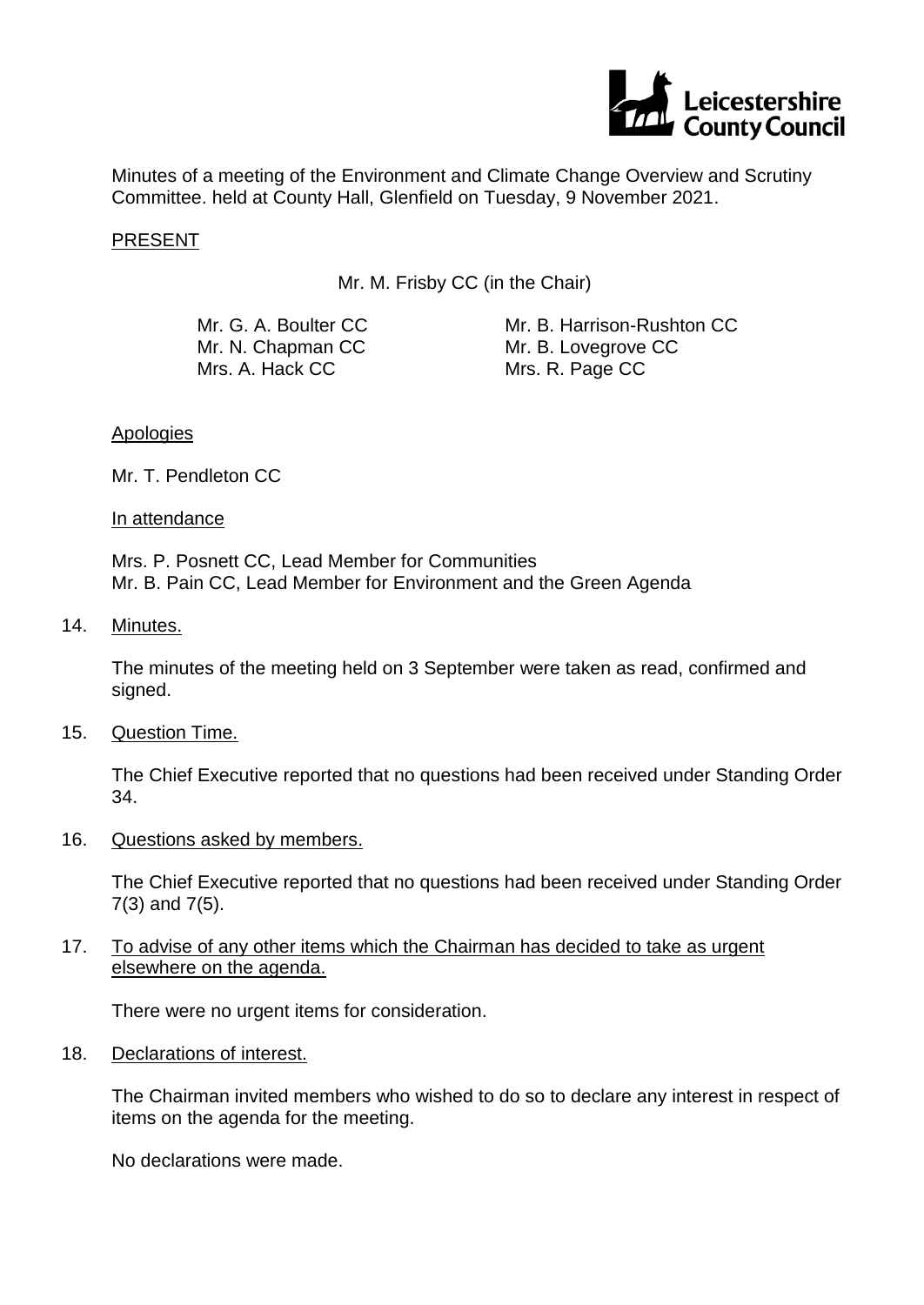

Minutes of a meeting of the Environment and Climate Change Overview and Scrutiny Committee. held at County Hall, Glenfield on Tuesday, 9 November 2021.

### PRESENT

Mr. M. Frisby CC (in the Chair)

Mr. G. A. Boulter CC Mr. N. Chapman CC Mrs. A. Hack CC

Mr. B. Harrison-Rushton CC Mr. B. Lovegrove CC Mrs. R. Page CC

#### Apologies

Mr. T. Pendleton CC

#### In attendance

Mrs. P. Posnett CC, Lead Member for Communities Mr. B. Pain CC, Lead Member for Environment and the Green Agenda

## 14. Minutes.

The minutes of the meeting held on 3 September were taken as read, confirmed and signed.

#### 15. Question Time.

The Chief Executive reported that no questions had been received under Standing Order 34.

16. Questions asked by members.

The Chief Executive reported that no questions had been received under Standing Order 7(3) and 7(5).

## 17. To advise of any other items which the Chairman has decided to take as urgent elsewhere on the agenda.

There were no urgent items for consideration.

#### 18. Declarations of interest.

The Chairman invited members who wished to do so to declare any interest in respect of items on the agenda for the meeting.

No declarations were made.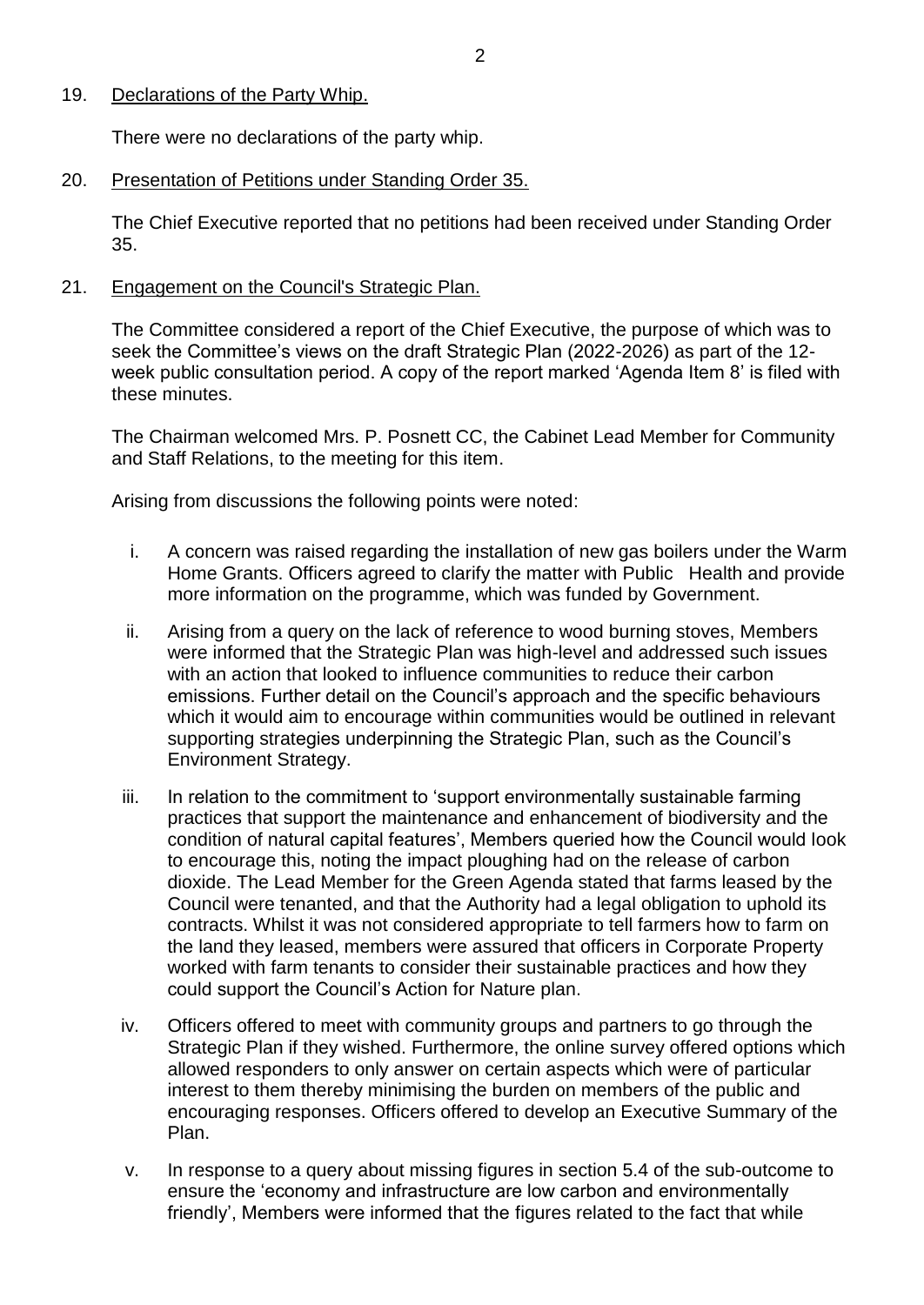## 19. Declarations of the Party Whip.

There were no declarations of the party whip.

## 20. Presentation of Petitions under Standing Order 35.

The Chief Executive reported that no petitions had been received under Standing Order 35.

## 21. Engagement on the Council's Strategic Plan.

The Committee considered a report of the Chief Executive, the purpose of which was to seek the Committee's views on the draft Strategic Plan (2022-2026) as part of the 12 week public consultation period. A copy of the report marked 'Agenda Item 8' is filed with these minutes.

The Chairman welcomed Mrs. P. Posnett CC, the Cabinet Lead Member for Community and Staff Relations, to the meeting for this item.

Arising from discussions the following points were noted:

- i. A concern was raised regarding the installation of new gas boilers under the Warm Home Grants. Officers agreed to clarify the matter with Public Health and provide more information on the programme, which was funded by Government.
- ii. Arising from a query on the lack of reference to wood burning stoves, Members were informed that the Strategic Plan was high-level and addressed such issues with an action that looked to influence communities to reduce their carbon emissions. Further detail on the Council's approach and the specific behaviours which it would aim to encourage within communities would be outlined in relevant supporting strategies underpinning the Strategic Plan, such as the Council's Environment Strategy.
- iii. In relation to the commitment to 'support environmentally sustainable farming practices that support the maintenance and enhancement of biodiversity and the condition of natural capital features', Members queried how the Council would look to encourage this, noting the impact ploughing had on the release of carbon dioxide. The Lead Member for the Green Agenda stated that farms leased by the Council were tenanted, and that the Authority had a legal obligation to uphold its contracts. Whilst it was not considered appropriate to tell farmers how to farm on the land they leased, members were assured that officers in Corporate Property worked with farm tenants to consider their sustainable practices and how they could support the Council's Action for Nature plan.
- iv. Officers offered to meet with community groups and partners to go through the Strategic Plan if they wished. Furthermore, the online survey offered options which allowed responders to only answer on certain aspects which were of particular interest to them thereby minimising the burden on members of the public and encouraging responses. Officers offered to develop an Executive Summary of the Plan.
- v. In response to a query about missing figures in section 5.4 of the sub-outcome to ensure the 'economy and infrastructure are low carbon and environmentally friendly', Members were informed that the figures related to the fact that while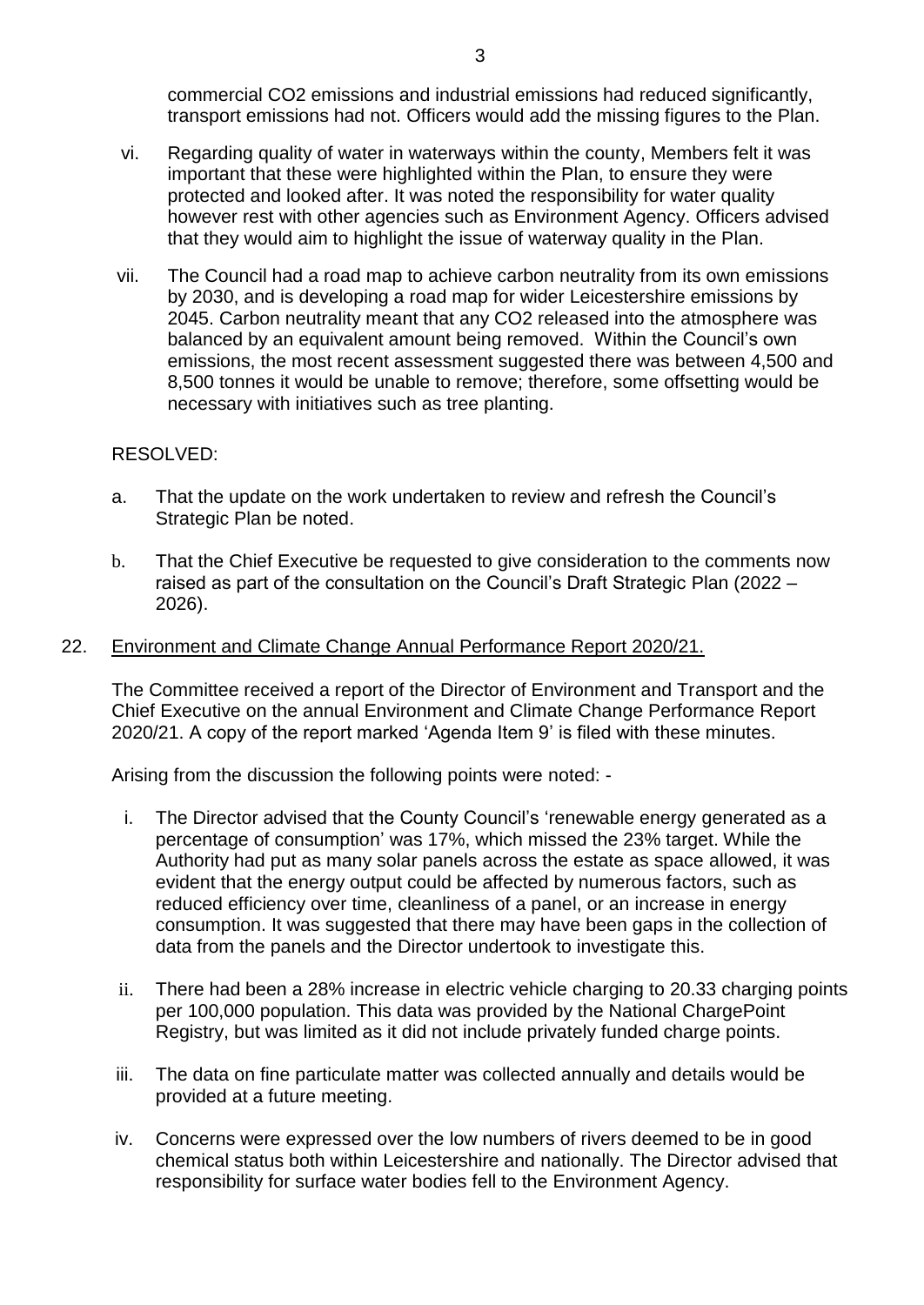commercial CO2 emissions and industrial emissions had reduced significantly, transport emissions had not. Officers would add the missing figures to the Plan.

- vi. Regarding quality of water in waterways within the county, Members felt it was important that these were highlighted within the Plan, to ensure they were protected and looked after. It was noted the responsibility for water quality however rest with other agencies such as Environment Agency. Officers advised that they would aim to highlight the issue of waterway quality in the Plan.
- vii. The Council had a road map to achieve carbon neutrality from its own emissions by 2030, and is developing a road map for wider Leicestershire emissions by 2045. Carbon neutrality meant that any CO2 released into the atmosphere was balanced by an equivalent amount being removed. Within the Council's own emissions, the most recent assessment suggested there was between 4,500 and 8,500 tonnes it would be unable to remove; therefore, some offsetting would be necessary with initiatives such as tree planting.

# RESOLVED:

- a. That the update on the work undertaken to review and refresh the Council's Strategic Plan be noted.
- b. That the Chief Executive be requested to give consideration to the comments now raised as part of the consultation on the Council's Draft Strategic Plan (2022 – 2026).

### 22. Environment and Climate Change Annual Performance Report 2020/21.

The Committee received a report of the Director of Environment and Transport and the Chief Executive on the annual Environment and Climate Change Performance Report 2020/21. A copy of the report marked 'Agenda Item 9' is filed with these minutes.

Arising from the discussion the following points were noted: -

- i. The Director advised that the County Council's 'renewable energy generated as a percentage of consumption' was 17%, which missed the 23% target. While the Authority had put as many solar panels across the estate as space allowed, it was evident that the energy output could be affected by numerous factors, such as reduced efficiency over time, cleanliness of a panel, or an increase in energy consumption. It was suggested that there may have been gaps in the collection of data from the panels and the Director undertook to investigate this.
- ii. There had been a 28% increase in electric vehicle charging to 20.33 charging points per 100,000 population. This data was provided by the National ChargePoint Registry, but was limited as it did not include privately funded charge points.
- iii. The data on fine particulate matter was collected annually and details would be provided at a future meeting.
- iv. Concerns were expressed over the low numbers of rivers deemed to be in good chemical status both within Leicestershire and nationally. The Director advised that responsibility for surface water bodies fell to the Environment Agency.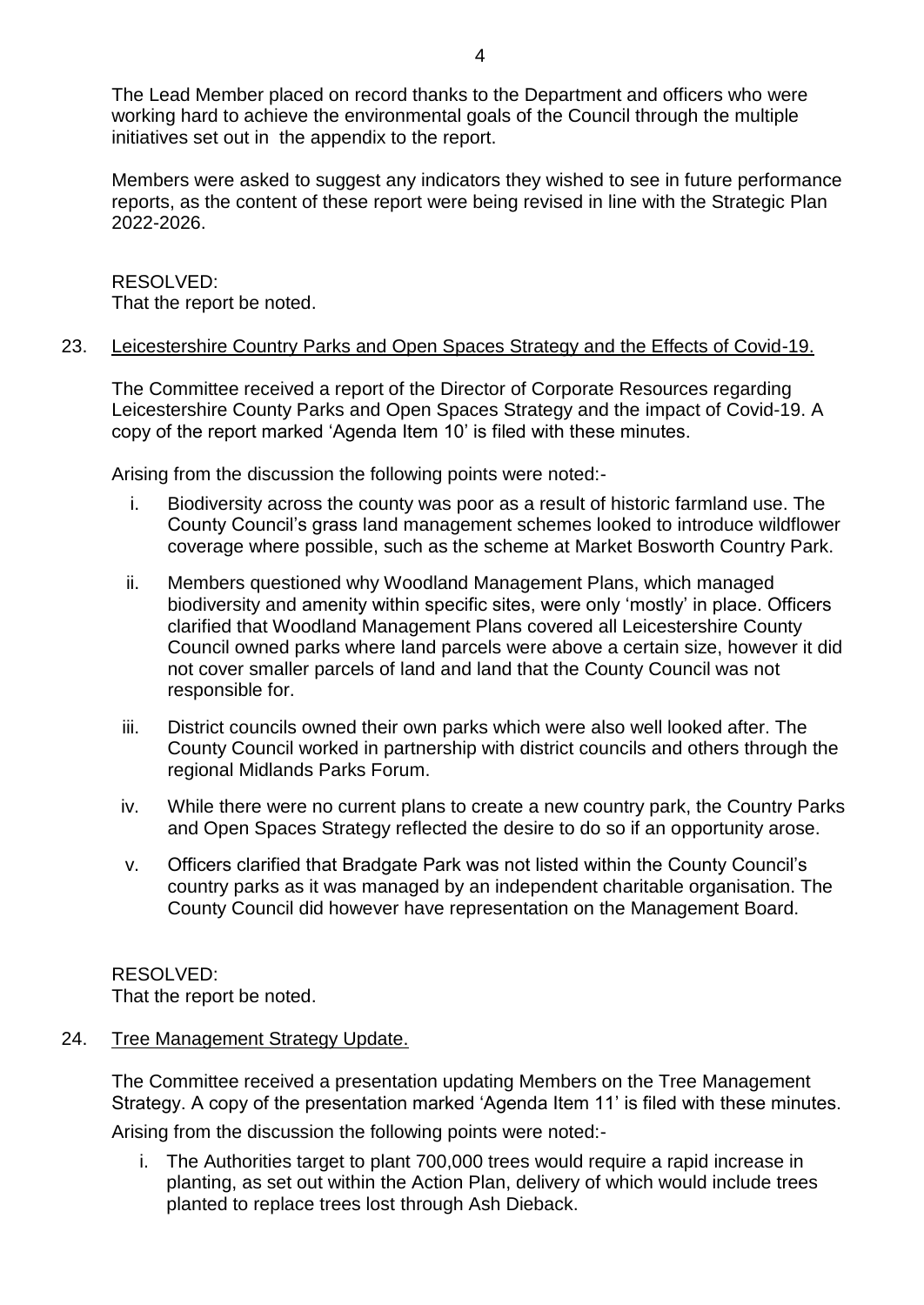The Lead Member placed on record thanks to the Department and officers who were working hard to achieve the environmental goals of the Council through the multiple initiatives set out in the appendix to the report.

Members were asked to suggest any indicators they wished to see in future performance reports, as the content of these report were being revised in line with the Strategic Plan 2022-2026.

# RESOLVED: That the report be noted.

# 23. Leicestershire Country Parks and Open Spaces Strategy and the Effects of Covid-19.

The Committee received a report of the Director of Corporate Resources regarding Leicestershire County Parks and Open Spaces Strategy and the impact of Covid-19. A copy of the report marked 'Agenda Item 10' is filed with these minutes.

Arising from the discussion the following points were noted:-

- i. Biodiversity across the county was poor as a result of historic farmland use. The County Council's grass land management schemes looked to introduce wildflower coverage where possible, such as the scheme at Market Bosworth Country Park.
- ii. Members questioned why Woodland Management Plans, which managed biodiversity and amenity within specific sites, were only 'mostly' in place. Officers clarified that Woodland Management Plans covered all Leicestershire County Council owned parks where land parcels were above a certain size, however it did not cover smaller parcels of land and land that the County Council was not responsible for.
- iii. District councils owned their own parks which were also well looked after. The County Council worked in partnership with district councils and others through the regional Midlands Parks Forum.
- iv. While there were no current plans to create a new country park, the Country Parks and Open Spaces Strategy reflected the desire to do so if an opportunity arose.
- v. Officers clarified that Bradgate Park was not listed within the County Council's country parks as it was managed by an independent charitable organisation. The County Council did however have representation on the Management Board.

RESOLVED: That the report be noted.

# 24. Tree Management Strategy Update.

The Committee received a presentation updating Members on the Tree Management Strategy. A copy of the presentation marked 'Agenda Item 11' is filed with these minutes.

Arising from the discussion the following points were noted:-

i. The Authorities target to plant 700,000 trees would require a rapid increase in planting, as set out within the Action Plan, delivery of which would include trees planted to replace trees lost through Ash Dieback.